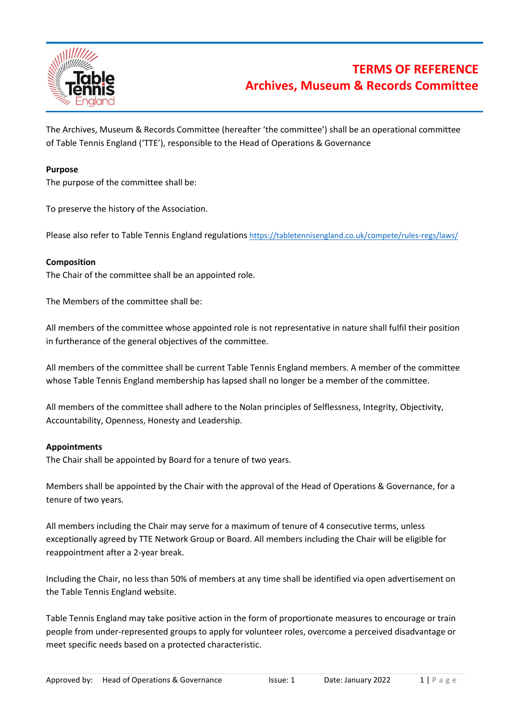

# **TERMS OF REFERENCE Archives, Museum & Records Committee**

The Archives, Museum & Records Committee (hereafter 'the committee') shall be an operational committee of Table Tennis England ('TTE'), responsible to the Head of Operations & Governance

### **Purpose**

The purpose of the committee shall be:

To preserve the history of the Association.

Please also refer to Table Tennis England regulations <https://tabletennisengland.co.uk/compete/rules-regs/laws/>

### **Composition**

The Chair of the committee shall be an appointed role.

The Members of the committee shall be:

All members of the committee whose appointed role is not representative in nature shall fulfil their position in furtherance of the general objectives of the committee.

All members of the committee shall be current Table Tennis England members. A member of the committee whose Table Tennis England membership has lapsed shall no longer be a member of the committee.

All members of the committee shall adhere to the Nolan principles of Selflessness, Integrity, Objectivity, Accountability, Openness, Honesty and Leadership.

#### **Appointments**

The Chair shall be appointed by Board for a tenure of two years.

Members shall be appointed by the Chair with the approval of the Head of Operations & Governance, for a tenure of two years.

All members including the Chair may serve for a maximum of tenure of 4 consecutive terms, unless exceptionally agreed by TTE Network Group or Board. All members including the Chair will be eligible for reappointment after a 2-year break.

Including the Chair, no less than 50% of members at any time shall be identified via open advertisement on the Table Tennis England website.

Table Tennis England may take positive action in the form of proportionate measures to encourage or train people from under-represented groups to apply for volunteer roles, overcome a perceived disadvantage or meet specific needs based on a protected characteristic.